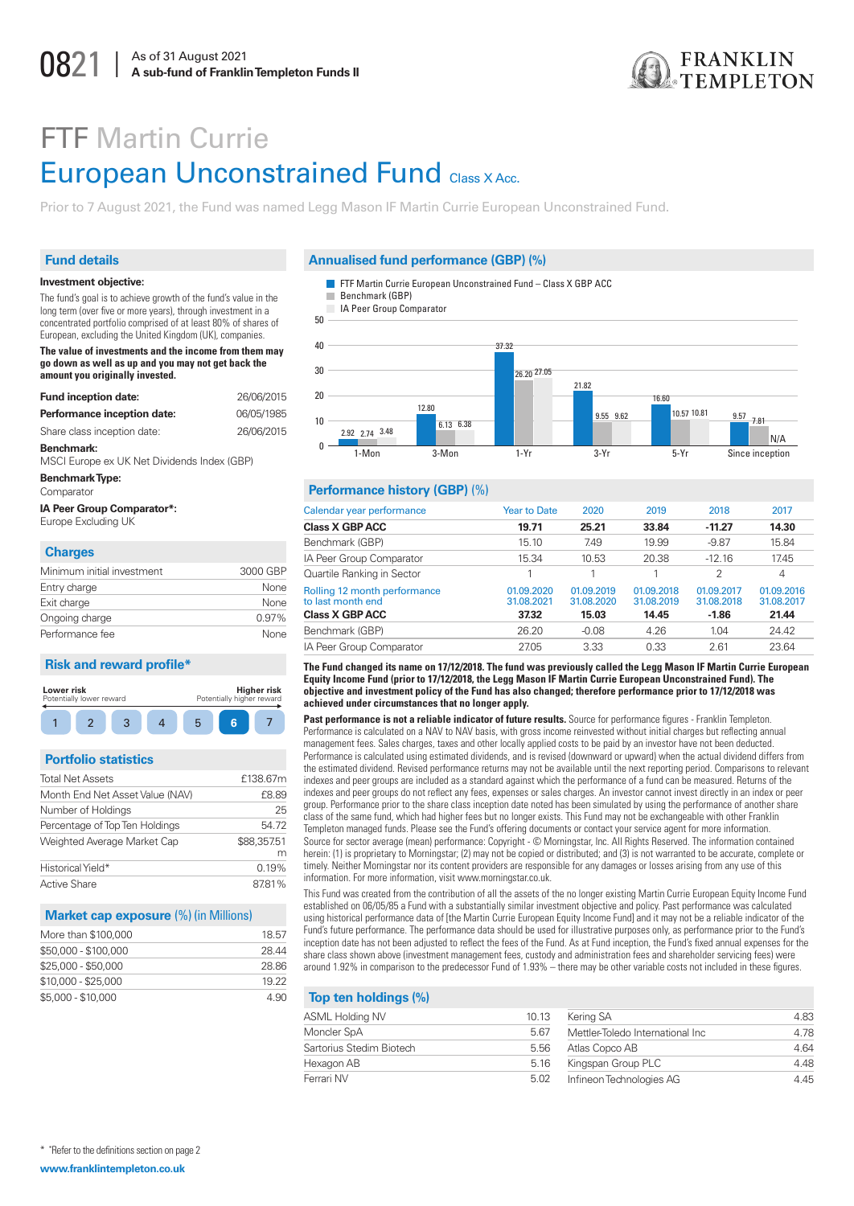

# **FTF Martin Currie European Unconstrained Fund Class X Acc.**

Prior to 7 August 2021, the Fund was named Legg Mason IF Martin Currie European Unconstrained Fund.

# **Fund details**

#### Investment objective:

The fund's goal is to achieve growth of the fund's value in the long term (over five or more years), through investment in a concentrated portfolio comprised of at least 80% of shares of European, excluding the United Kingdom (UK), companies.

The value of investments and the income from them may go down as well as up and you may not get back the amount you originally invested.

| <b>Fund inception date:</b>                               | 26/06/2015 |
|-----------------------------------------------------------|------------|
| Performance inception date:                               | 06/05/1985 |
| Share class inception date:                               | 26/06/2015 |
| Benchmark:<br>MSCI Europe ex UK Net Dividends Index (GBP) |            |
| Benchmark Type:<br>Comparator                             |            |
| <b>IA Peer Group Comparator*:</b><br>Europe Excluding UK  |            |

# Charge

| <b>PHANGO</b>              |          |
|----------------------------|----------|
| Minimum initial investment | 3000 GBP |
| Entry charge               | None     |
| Exit charge                | None     |
| Ongoing charge             | $0.97\%$ |
| Performance fee            | None     |

# **Risk and reward profile\***



# **Portfolio statistics**

| <b>Total Net Assets</b>         | £138.67n        |
|---------------------------------|-----------------|
| Month End Net Asset Value (NAV) | £8.89           |
| Number of Holdings              | 2!              |
| Percentage of Top Ten Holdings  | 54.7            |
| Weighted Average Market Cap     | \$88,357.5<br>n |
| Historical Yield*               | 0.19%           |
| <b>Active Share</b>             | 87.81%          |

#### **Market cap exposure (%) (in Millions)**

| 18.57 |
|-------|
| 28.44 |
| 28.86 |
| 19 22 |
| 4.90  |
|       |

#### Annualised fund performance (GBP) (%)



IA Peer Group Comparator



#### Performance history (GBP) (%)

| Calendar year performance                         | <b>Year to Date</b>      | 2020                     | 2019                     | 2018                     | 2017                     |
|---------------------------------------------------|--------------------------|--------------------------|--------------------------|--------------------------|--------------------------|
| <b>Class X GBP ACC</b>                            | 19.71                    | 25.21                    | 33.84                    | $-11.27$                 | 14.30                    |
| Benchmark (GBP)                                   | 15.10                    | 7.49                     | 19.99                    | $-9.87$                  | 15.84                    |
| IA Peer Group Comparator                          | 15.34                    | 10.53                    | 20.38                    | $-12.16$                 | 17.45                    |
| Quartile Ranking in Sector                        |                          |                          |                          | 2                        | 4                        |
| Rolling 12 month performance<br>to last month end | 01.09.2020<br>31.08.2021 | 01.09.2019<br>31.08.2020 | 01.09.2018<br>31.08.2019 | 01.09.2017<br>31.08.2018 | 01.09.2016<br>31.08.2017 |
| <b>Class X GBP ACC</b>                            | 37.32                    | 15.03                    | 14.45                    | $-1.86$                  | 21.44                    |
| Benchmark (GBP)                                   | 26.20                    | $-0.08$                  | 4.26                     | 1.04                     | 24.42                    |
| IA Peer Group Comparator                          | 27.05                    | 3.33                     | 0.33                     | 2.61                     | 23.64                    |
|                                                   |                          |                          |                          |                          |                          |

#### The Fund changed its name on 17/12/2018. The fund was previously called the Legg Mason IF Martin Currie European Equity Income Fund (prior to 17/12/2018, the Legg Mason IF Martin Currie European Unconstrained Fund). The objective and investment policy of the Fund has also changed; therefore performance prior to 17/12/2018 was achieved under circumstances that no longer apply.

Past performance is not a reliable indicator of future results. Source for performance figures - Franklin Templeton. Performance is calculated on a NAV to NAV basis, with gross income reinvested without initial charges but reflecting annual management fees. Sales charges, taxes and other locally applied costs to be paid by an investor have not been deducted. Performance is calculated using estimated dividends, and is revised (downward or upward) when the actual dividend differs from the estimated dividend. Revised performance returns may not be available until the next reporting period. Comparisons to relevant indexes and peer groups are included as a standard against which the performance of a fund can be measured. Returns of the indexes and peer groups do not reflect any fees, expenses or sales charges. An investor cannot invest directly in an index or peer group. Performance prior to the share class inception date noted has been simulated by using the performance of another share class of the same fund, which had higher fees but no longer exists. This Fund may not be exchangeable with other Franklin Templeton managed funds. Please see the Fund's offering documents or contact your service agent for more information. Source for sector average (mean) performance: Copyright - © Morningstar, Inc. All Rights Reserved. The information contained herein: (1) is proprietary to Morningstar; (2) may not be copied or distributed; and (3) is not warranted to be accurate, complete or timely. Neither Morningstar nor its content providers are responsible for any damages or losses arising from any use of this information. For more information, visit www.morningstar.co.uk.

This Fund was created from the contribution of all the assets of the no longer existing Martin Currie European Equity Income Fund established on 06/05/85 a Fund with a substantially similar investment objective and policy. Past performance was calculated using historical performance data of [the Martin Currie European Equity Income Fund] and it may not be a reliable indicator of the Fund's future performance. The performance data should be used for illustrative purposes only, as performance prior to the Fund's inception date has not been adjusted to reflect the fees of the Fund. As at Fund inception, the Fund's fixed annual expenses for the share class shown above (investment management fees, custody and administration fees and shareholder servicing fees) were around 1.92% in comparison to the predecessor Fund of 1.93% - there may be other variable costs not included in these figures.

# Top ten holdings (%)

| <b>ASML Holding NV</b>   | 10.13 | Kering SA                        | 4.83 |
|--------------------------|-------|----------------------------------|------|
| <b>Moncler SpA</b>       | 5.67  | Mettler-Toledo International Inc | 4.78 |
| Sartorius Stedim Biotech | 5.56  | Atlas Copco AB                   | 4.64 |
| Hexagon AB               | 5.16  | Kingspan Group PLC               | 4.48 |
| Ferrari NV               | 5.02  | Infineon Technologies AG         | 4.45 |
|                          |       |                                  |      |